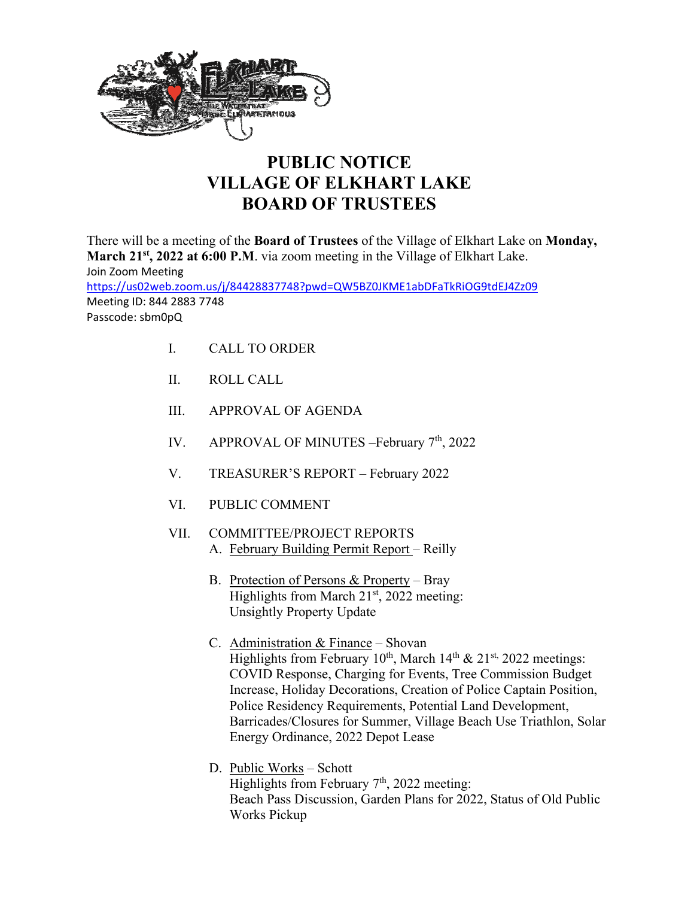

## **PUBLIC NOTICE VILLAGE OF ELKHART LAKE BOARD OF TRUSTEES**

There will be a meeting of the **Board of Trustees** of the Village of Elkhart Lake on **Monday,**  March 21<sup>st</sup>, 2022 at 6:00 P.M. via zoom meeting in the Village of Elkhart Lake. Join Zoom Meeting https://us02web.zoom.us/j/84428837748?pwd=QW5BZ0JKME1abDFaTkRiOG9tdEJ4Zz09 Meeting ID: 844 2883 7748 Passcode: sbm0pQ

- I. CALL TO ORDER
- II. ROLL CALL
- III. APPROVAL OF AGENDA
- IV. APPROVAL OF MINUTES –February 7<sup>th</sup>, 2022
- V. TREASURER'S REPORT February 2022
- VI. PUBLIC COMMENT
- VII. COMMITTEE/PROJECT REPORTS A. February Building Permit Report - Reilly
	- B. Protection of Persons & Property Bray Highlights from March  $21<sup>st</sup>$ , 2022 meeting: Unsightly Property Update
	- C. Administration & Finance Shovan Highlights from February  $10^{th}$ , March  $14^{th}$  &  $21^{st}$ , 2022 meetings: COVID Response, Charging for Events, Tree Commission Budget Increase, Holiday Decorations, Creation of Police Captain Position, Police Residency Requirements, Potential Land Development, Barricades/Closures for Summer, Village Beach Use Triathlon, Solar Energy Ordinance, 2022 Depot Lease
	- D. Public Works Schott Highlights from February 7<sup>th</sup>, 2022 meeting: Beach Pass Discussion, Garden Plans for 2022, Status of Old Public Works Pickup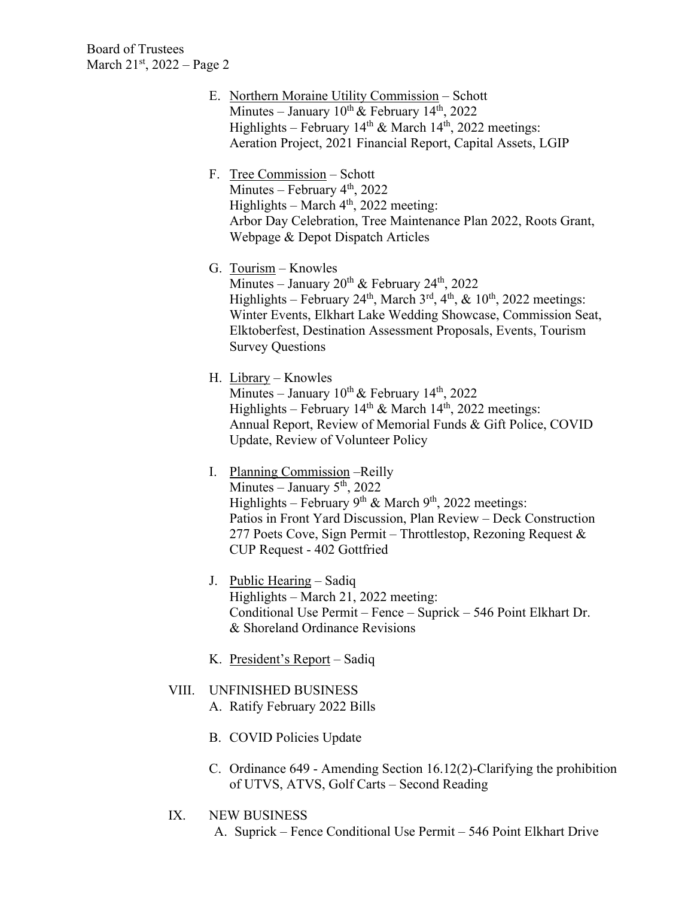- E. Northern Moraine Utility Commission Schott Minutes – January  $10^{th}$  & February  $14^{th}$ , 2022 Highlights – February  $14<sup>th</sup>$  & March  $14<sup>th</sup>$ , 2022 meetings: Aeration Project, 2021 Financial Report, Capital Assets, LGIP
- F. Tree Commission Schott Minutes – February  $4<sup>th</sup>$ , 2022 Highlights – March  $4<sup>th</sup>$ , 2022 meeting: Arbor Day Celebration, Tree Maintenance Plan 2022, Roots Grant, Webpage & Depot Dispatch Articles
- G. Tourism Knowles Minutes – January  $20^{th}$  & February  $24^{th}$ ,  $2022$ Highlights – February 24<sup>th</sup>, March  $3^{rd}$ ,  $4^{th}$ , &  $10^{th}$ , 2022 meetings: Winter Events, Elkhart Lake Wedding Showcase, Commission Seat, Elktoberfest, Destination Assessment Proposals, Events, Tourism Survey Questions
- H. Library Knowles Minutes – January  $10^{th}$  & February  $14^{th}$ , 2022 Highlights – February 14<sup>th</sup> & March 14<sup>th</sup>, 2022 meetings: Annual Report, Review of Memorial Funds & Gift Police, COVID Update, Review of Volunteer Policy
- I. Planning Commission –Reilly  $\overline{\text{Minutes}} - \text{January } 5^{\text{th}}$ , 2022 Highlights – February 9<sup>th</sup> & March 9<sup>th</sup>, 2022 meetings: Patios in Front Yard Discussion, Plan Review – Deck Construction 277 Poets Cove, Sign Permit – Throttlestop, Rezoning Request  $\&$ CUP Request - 402 Gottfried
- J. Public Hearing Sadiq Highlights – March 21, 2022 meeting: Conditional Use Permit – Fence – Suprick – 546 Point Elkhart Dr. & Shoreland Ordinance Revisions
- K. President's Report Sadiq
- VIII. UNFINISHED BUSINESS A. Ratify February 2022 Bills
	- B. COVID Policies Update
	- C. Ordinance 649 Amending Section 16.12(2)-Clarifying the prohibition of UTVS, ATVS, Golf Carts – Second Reading
- IX. NEW BUSINESS
	- A. Suprick Fence Conditional Use Permit 546 Point Elkhart Drive